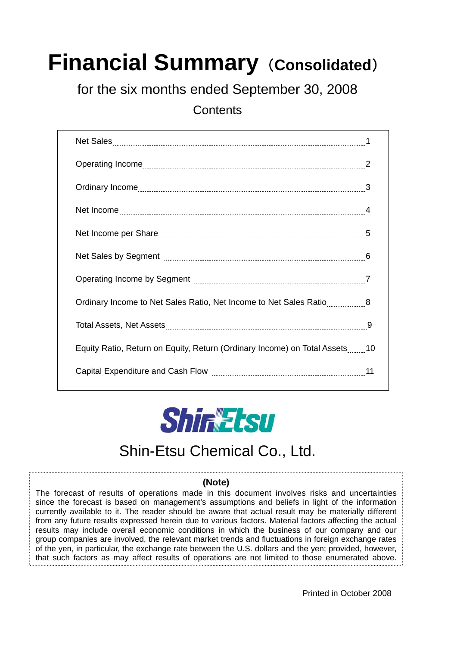# **Financial Summary (Consolidated)**

for the six months ended September 30, 2008

**Contents** 

| Ordinary Income to Net Sales Ratio, Net Income to Net Sales Ratio8         |
|----------------------------------------------------------------------------|
|                                                                            |
| Equity Ratio, Return on Equity, Return (Ordinary Income) on Total Assets10 |
|                                                                            |



### Shin-Etsu Chemical Co., Ltd.

#### **(Note)**

The forecast of results of operations made in this document involves risks and uncertainties since the forecast is based on management's assumptions and beliefs in light of the information currently available to it. The reader should be aware that actual result may be materially different from any future results expressed herein due to various factors. Material factors affecting the actual results may include overall economic conditions in which the business of our company and our group companies are involved, the relevant market trends and fluctuations in foreign exchange rates of the yen, in particular, the exchange rate between the U.S. dollars and the yen; provided, however, that such factors as may affect results of operations are not limited to those enumerated above.

Printed in October 2008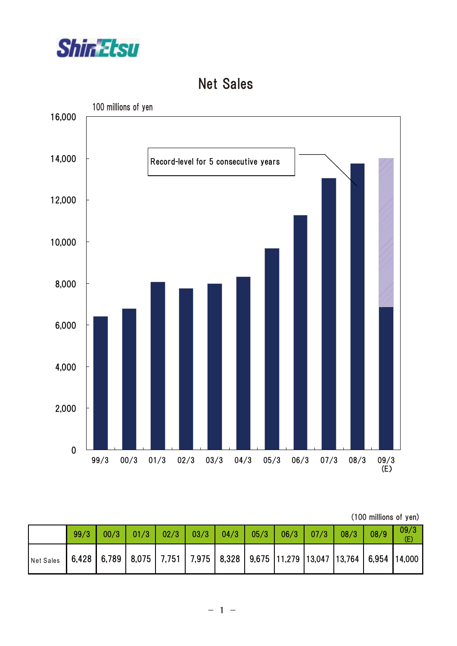

#### Net Sales



| (100 millions of yen) |  |
|-----------------------|--|
|                       |  |

|                                                                                                               | 99/3 |  |  |  | $00/3$   01/3   02/3   03/3   04/3   05/3   06/3   07/3   08/3 |  | 08/9 | 09/3 |
|---------------------------------------------------------------------------------------------------------------|------|--|--|--|----------------------------------------------------------------|--|------|------|
| Net Sales   6,428   6,789   8,075   7,751   7,975   8,328   9,675   11,279   13,047   13,764   6,954   14,000 |      |  |  |  |                                                                |  |      |      |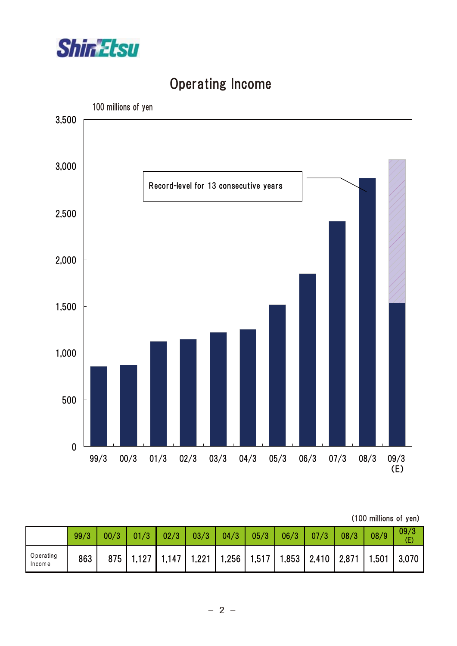

# 100 millions of yen Record-level for 5 consecutive years 0 500 1,000 1,500 2,000 2,500 3,000 3,500 99/3 00/3 01/3 02/3 03/3 04/3 05/3 06/3 07/3 08/3 09/3 09/3<br>(E) Record-level for 13 consecutive years

# Operating Income

#### (100 millions of yen)

|                     | 99/3 | 00/3 | 01/3                                                                                | 02/3 | 03/3 | 04/3 | 05/3 | 06/3 | 07/3 | 08/3 | 08/9 | 09/3<br>Œ |
|---------------------|------|------|-------------------------------------------------------------------------------------|------|------|------|------|------|------|------|------|-----------|
| Operating<br>Income | 863  |      | 875   1,127   1,147   1,221   1,256   1,517   1,853   2,410   2,871   1,501   3,070 |      |      |      |      |      |      |      |      |           |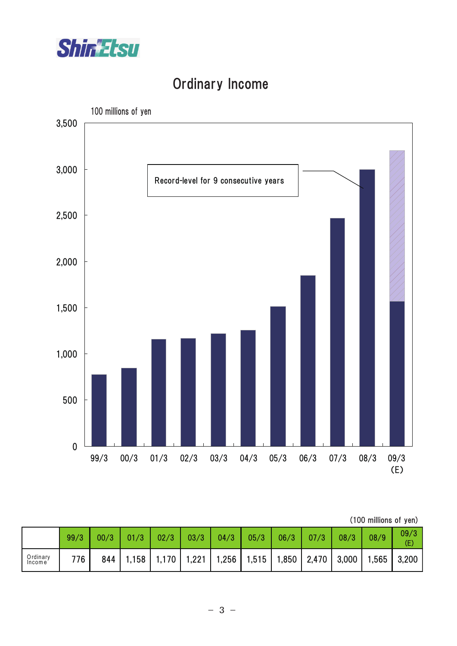

# Ordinary Income



| (100 millions of yen) |  |
|-----------------------|--|
|                       |  |

|                    | 99/3 | 00/3 | 01/3                                                                                       | 02/3 | 03/3 | 04/3 | 05/3 | 06/3 | 07/3 | 08/3 | 08/9 | 09/3<br>(E) |
|--------------------|------|------|--------------------------------------------------------------------------------------------|------|------|------|------|------|------|------|------|-------------|
| Ordinary<br>Income | 776  | 844  | <sup>1</sup> 1,158   1,170   1,221   1,256   1,515   1,850   2,470   3,000   1,565   3,200 |      |      |      |      |      |      |      |      |             |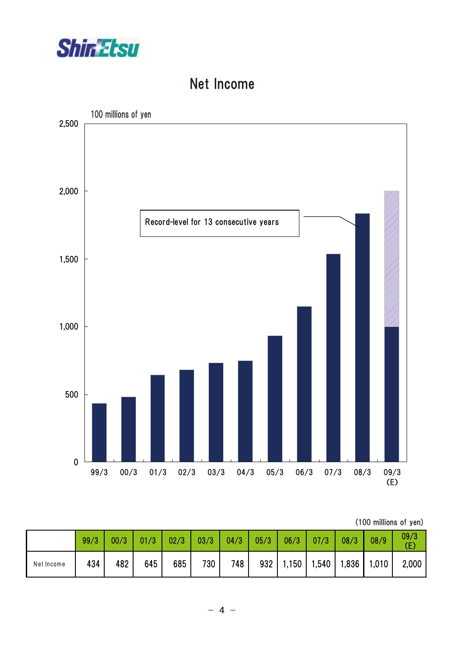

#### Net Income



<sup>(100</sup> millions of yen)

|            | 99/3 | 00/3 | 01/3 | 02/3 | 03/3 | 04/3 | 05/3 | 06/3 | 07/3 | 08/3 | 08/9                                  | 09/3<br>(E) |
|------------|------|------|------|------|------|------|------|------|------|------|---------------------------------------|-------------|
| Net Income | 434  | 482  | 645  | 685  | 730  | 748  |      |      |      |      | $932$   1,150   1,540   1,836   1,010 | 2,000       |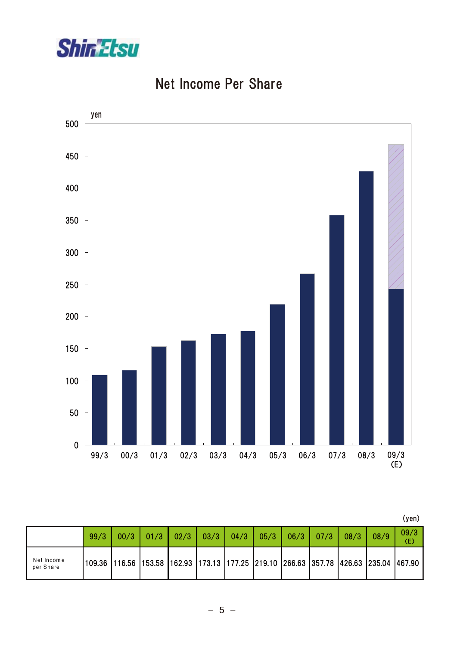

### Net Income Per Share



|                         |      |                                                                                     |      |      |      |      |      |      |      |      |      | (yen)       |
|-------------------------|------|-------------------------------------------------------------------------------------|------|------|------|------|------|------|------|------|------|-------------|
|                         | 99/3 | 00/3                                                                                | 01/3 | 02/3 | 03/3 | 04/3 | 05/3 | 06/3 | 07/3 | 08/3 | 08/9 | 09/3<br>(E) |
| Net Income<br>per Share |      | 109.36 116.56 153.58 162.93 173.13 177.25 219.10 266.63 357.78 426.63 235.04 467.90 |      |      |      |      |      |      |      |      |      |             |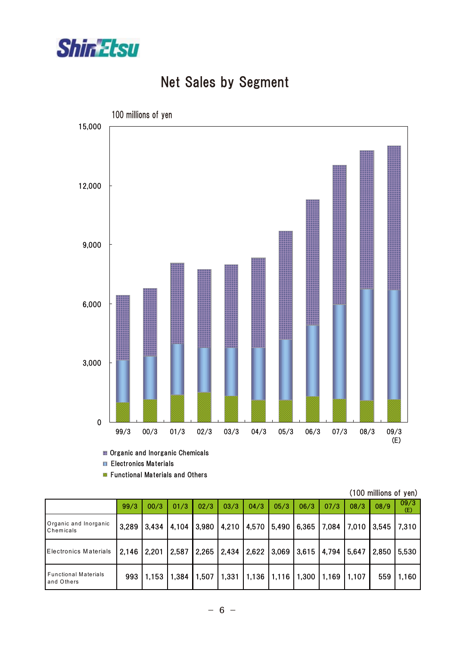

## Net Sales by Segment



Organic and Inorganic Chemicals

**Electronics Materials** 

**Functional Materials and Others** 

|                                           |       |       |       |       |      |      |                                                       |      |       |                   | (TUU THIIIIUHS OF YEIT) |             |
|-------------------------------------------|-------|-------|-------|-------|------|------|-------------------------------------------------------|------|-------|-------------------|-------------------------|-------------|
|                                           | 99/3  | 00/3  | 01/3  | 02/3  | 03/3 | 04/3 | 05/3                                                  | 06/3 | 07/3  | 08/3              | 08/9                    | 09/3<br>(E) |
| Organic and Inorganic<br>Chemicals        | 3,289 |       |       |       |      |      | 3,434   4,104   3,980   4,210   4,570   5,490   6,365 |      |       | 7,084 7,010 3,545 |                         | 7,310       |
| <b>Electronics Materials</b>              | 2,146 | 2,201 | 2,587 | 2,265 |      |      | 2,434   2,622   3,069   3,615                         |      | 4,794 | 5,647             | 2,850                   | 5,530       |
| <b>Functional Materials</b><br>and Others | 993   | 1,153 | 1,384 | 1,507 |      |      | $1,331$   1,136   1,116   1,300                       |      | 1,169 | 1,107             | 559                     | 1,160       |

(100 millions of yen)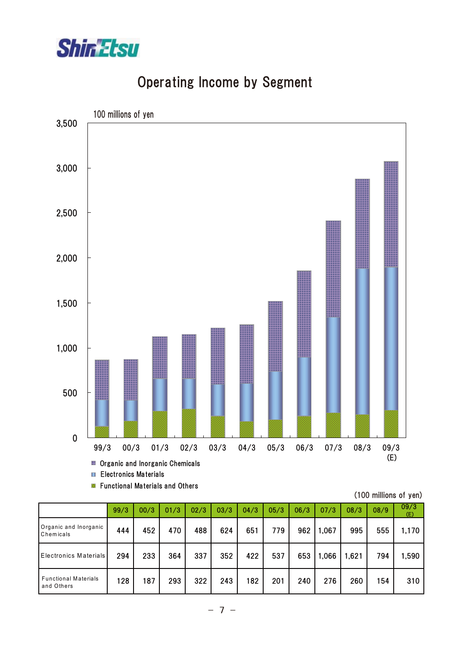

#### Operating Income by Segment



**Functional Materials and Others** 

| (100 millions of yen) |  |  |
|-----------------------|--|--|
|-----------------------|--|--|

|                                           | 99/3 | 00/3 | 01/3 | 02/3 | 03/3 | 04/3 | 05/3 | 06/3 | 07/3  | 08/3  | 08/9 | 09/3<br>(E) |
|-------------------------------------------|------|------|------|------|------|------|------|------|-------|-------|------|-------------|
| Organic and Inorganic<br>Chemicals        | 444  | 452  | 470  | 488  | 624  | 651  | 779  | 962  | ,067  | 995   | 555  | 1,170       |
| <b>Electronics Materials</b>              | 294  | 233  | 364  | 337  | 352  | 422  | 537  | 653  | 1,066 | 1,621 | 794  | ,590        |
| <b>Functional Materials</b><br>and Others | 128  | 187  | 293  | 322  | 243  | 182  | 201  | 240  | 276   | 260   | 154  | 310         |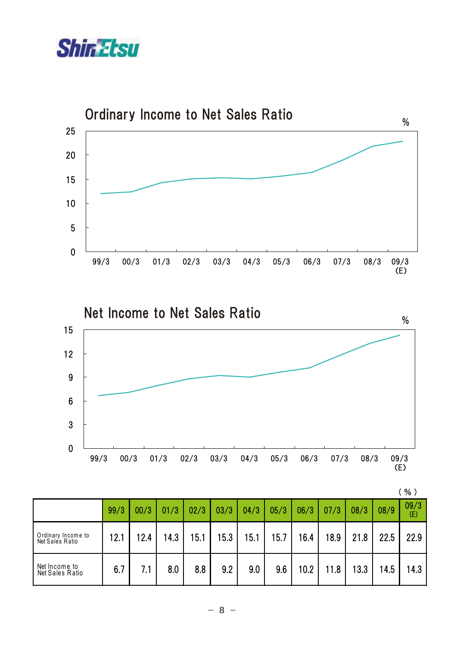



|                                       | 99/3 | 00/3 | 01/3 | 02/3 | 03/3 | 04/3 | 05/3 | 06/3 | 07/3 | 08/3 | 08/9 | 09/3<br>(E) |
|---------------------------------------|------|------|------|------|------|------|------|------|------|------|------|-------------|
| Ordinary Income to<br>Net Sales Ratio | 12.1 | 12.4 | 14.3 | 15.1 | 15.3 | 15.1 | 15.7 | 16.4 | 18.9 | 21.8 | 22.5 | 22.9        |
| Net Income to<br>Net Sales Ratio      | 6.7  | 7.1  | 8.0  | 8.8  | 9.2  | 9.0  | 9.6  | 10.2 | 11.8 | 13.3 | 14.5 | 14.3        |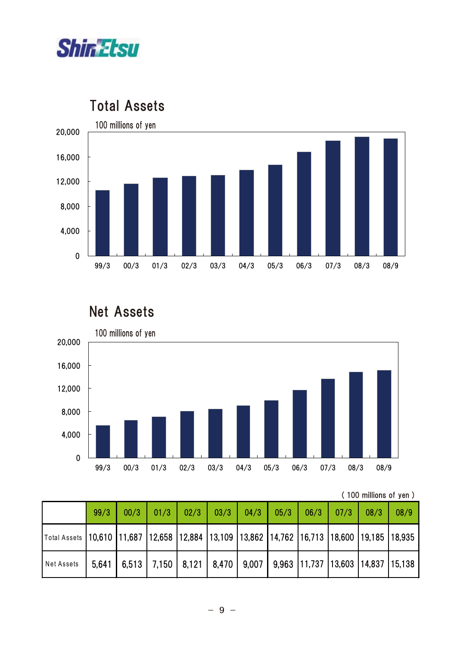



Total Assets

#### Net Assets



<sup>( 100</sup> millions of yen )

|                                                                                           | 99/3 |  |  |  |  |                                                                                           | 08/9 |
|-------------------------------------------------------------------------------------------|------|--|--|--|--|-------------------------------------------------------------------------------------------|------|
| Total Assets 10,610 11,687 12,658 12,884 13,109 13,862 14,762 16,713 18,600 19,185 18,935 |      |  |  |  |  |                                                                                           |      |
| <b>Net Assets</b>                                                                         |      |  |  |  |  | 5,641   6,513   7,150   8,121   8,470   9,007   9,963   11,737   13,603   14,837   15,138 |      |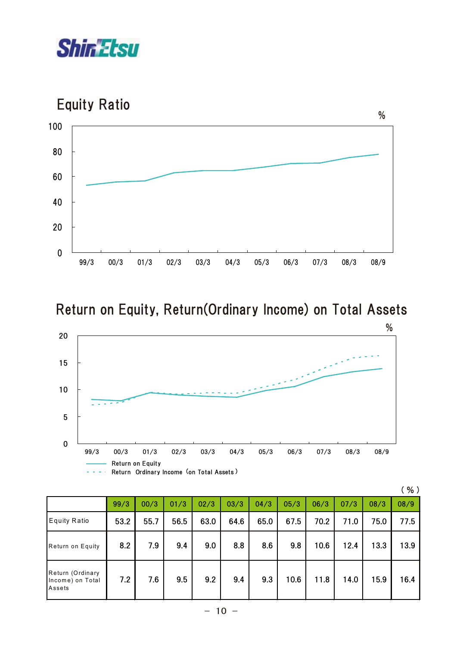





# Return on Equity, Return(Ordinary Income) on Total Assets



|                                                |      |      |      |      |      |      |      |      |      |      | (%)  |
|------------------------------------------------|------|------|------|------|------|------|------|------|------|------|------|
|                                                | 99/3 | 00/3 | 01/3 | 02/3 | 03/3 | 04/3 | 05/3 | 06/3 | 07/3 | 08/3 | 08/9 |
| Equity Ratio                                   | 53.2 | 55.7 | 56.5 | 63.0 | 64.6 | 65.0 | 67.5 | 70.2 | 71.0 | 75.0 | 77.5 |
| Return on Equity                               | 8.2  | 7.9  | 9.4  | 9.0  | 8.8  | 8.6  | 9.8  | 10.6 | 12.4 | 13.3 | 13.9 |
| Return (Ordinary<br>Income) on Total<br>Assets | 7.2  | 7.6  | 9.5  | 9.2  | 9.4  | 9.3  | 10.6 | 11.8 | 14.0 | 15.9 | 16.4 |